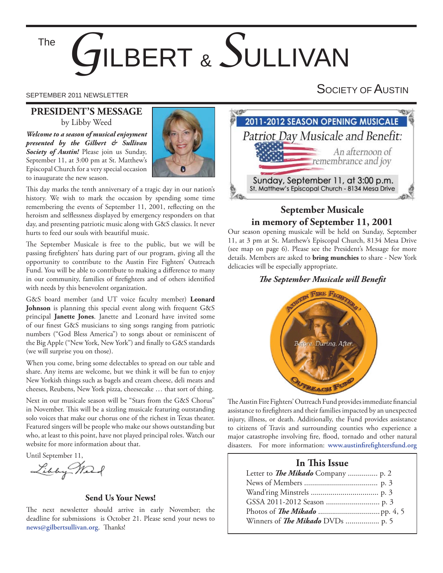# *G*ILBERT & *S*ULLIVAN The

# **PRESIDENT'S MESSAGE** by Libby Weed

*Welcome to a season of musical enjoyment presented by the Gilbert & Sullivan Society of Austin!* Please join us Sunday, September 11, at 3:00 pm at St. Matthew's Episcopal Church for a very special occasion to inaugurate the new season.



This day marks the tenth anniversary of a tragic day in our nation's history. We wish to mark the occasion by spending some time remembering the events of September 11, 2001, reflecting on the heroism and selflessness displayed by emergency responders on that day, and presenting patriotic music along with G&S classics. It never hurts to feed our souls with beautiful music.

The September Musicale is free to the public, but we will be passing firefighters' hats during part of our program, giving all the opportunity to contribute to the Austin Fire Fighters' Outreach Fund. You will be able to contribute to making a difference to many in our community, families of firefighters and of others identified with needs by this benevolent organization.

G&S board member (and UT voice faculty member) **Leonard Johnson** is planning this special event along with frequent G&S principal **Janette Jones**. Janette and Leonard have invited some of our finest G&S musicians to sing songs ranging from patriotic numbers ("God Bless America") to songs about or reminiscent of the Big Apple ("New York, New York") and finally to G&S standards (we will surprise you on those).

When you come, bring some delectables to spread on our table and share. Any items are welcome, but we think it will be fun to enjoy New Yorkish things such as bagels and cream cheese, deli meats and cheeses, Reubens, New York pizza, cheesecake … that sort of thing.

Next in our musicale season will be "Stars from the G&S Chorus" in November. This will be a sizzling musicale featuring outstanding solo voices that make our chorus one of the richest in Texas theater. Featured singers will be people who make our shows outstanding but who, at least to this point, have not played principal roles. Watch our website for more information about that.

Until September 11,

Libby Mark

#### **Send Us Your News!**

The next newsletter should arrive in early November; the deadline for submissions is October 21. Please send your news to news@gilbertsullivan.org. Thanks!

SEPTEMBER 2011 NEWSLETTER SEPTEMBER 2011 NEWSLETTER



# **September Musicale in memory of September 11, 2001**

Our season opening musicale will be held on Sunday, September 11, at 3 pm at St. Matthew's Episcopal Church, 8134 Mesa Drive (see map on page 6). Please see the President's Message for more details. Members are asked to **bring munchies** to share - New York delicacies will be especially appropriate.

### **The September Musicale will Benefit**



The Austin Fire Fighters' Outreach Fund provides immediate financial assistance to firefighters and their families impacted by an unexpected injury, illness, or death. Additionally, the Fund provides assistance to citizens of Travis and surrounding counties who experience a major catastrophe involving fire, flood, tornado and other natural disasters. For more information: www.austinfirefightersfund.org

# **In This Issue**

| Letter to <i>The Mikado</i> Company  p. 2 |  |
|-------------------------------------------|--|
|                                           |  |
|                                           |  |
|                                           |  |
|                                           |  |
| Winners of The Mikado DVDs  p. 5          |  |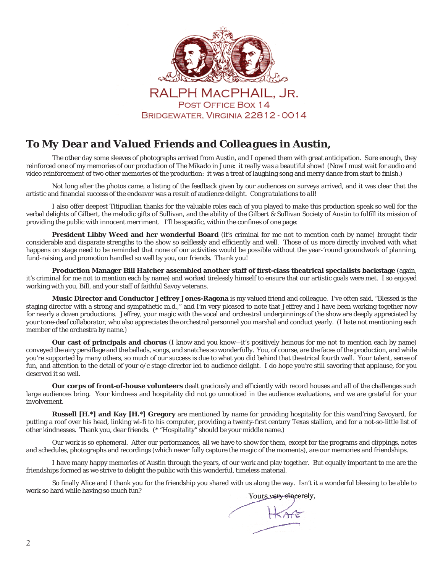

# RALPH MACPHAIL, JR. POST OFFICE BOX 14 BRIDGEWATER, VIRGINIA 22812 - 0014

# *To My Dear and Valued Friends and Colleagues in Austin,*

 The other day some sleeves of photographs arrived from Austin, and I opened them with great anticipation. Sure enough, they reinforced one of my memories of our production of *The Mikado* in June: it really *was* a beautiful show! (Now I must wait for audio and video reinforcement of two *other* memories of the production: it was a treat of laughing song and merry dance from start to finish.)

 Not long after the photos came, a listing of the feedback given by our audiences on surveys arrived, and it was clear that the artistic and financial success of the endeavor was a result of audience delight. *Congratulations to all!* 

 I also offer deepest Titipudlian thanks for the valuable roles each of you played to make this production speak so well for the verbal delights of Gilbert, the melodic gifts of Sullivan, and the ability of the Gilbert & Sullivan Society of Austin to fulfill its mission of providing the public with innocent merriment. I'll be specific, within the confines of one page:

**President Libby Weed and her wonderful Board** (it's criminal for me not to mention each by name) brought their considerable and disparate strengths to the show so selflessly and efficiently and well. Those of us more directly involved with what happens on stage need to be reminded that none of our activities would be possible without the year-'round groundwork of planning, fund-raising, and promotion handled so well by you, our friends. *Thank you!*

**Production Manager Bill Hatcher assembled another staff of fi rst-class theatrical specialists backstage** (again, it's criminal for me not to mention each by name) and worked tirelessly himself to ensure that our artistic goals were met. I so enjoyed working with you, Bill, and your staff of faithful Savoy veterans.

**Music Director and Conductor Jeffrey Jones-Ragona** is my valued friend and colleague. I've often said, "Blessed is the staging director with a strong and sympathetic m.d.," and I'm very pleased to note that Jeffrey and I have been working together now for nearly a dozen productions. Jeffrey, your magic with the vocal and orchestral underpinnings of the show are deeply appreciated by your tone-deaf collaborator, who also appreciates the orchestral personnel you marshal and conduct yearly. (I hate not mentioning each member of the orchestra by name.)

**Our cast of principals and chorus** (I know and you know—it's positively *heinous* for me not to mention each by name) conveyed the airy persiflage and the ballads, songs, and snatches so wonderfully. You, of course, are the faces of the production, and while you're supported by many others, so much of our success is due to what you did behind that theatrical fourth wall. Your talent, sense of fun, and attention to the detail of your o/c stage director led to audience delight. I do hope you're still savoring that applause, for you deserved it so well.

Our corps of front-of-house volunteers dealt graciously and efficiently with record houses and all of the challenges such large audiences bring. Your kindness and hospitality did not go unnoticed in the audience evaluations, and we are grateful for your involvement.

**Russell [H.\*] and Kay [H.\*] Gregory** are mentioned by name for providing hospitality for this wand'ring Savoyard, for putting a roof over his head, linking wi-fi to his computer, providing a twenty-first century Texas stallion, and for a not-so-little list of other kindnesses. Thank you, dear friends. (\* "Hospitality" *should* be your middle name.)

 Our work is so ephemeral. After our performances, all we have to show for them, except for the programs and clippings, notes and schedules, photographs and recordings (which never fully capture the magic of the moments), are our memories and friendships.

 I have many happy memories of Austin through the years, of our work and play together. But equally important to me are the friendships formed as we strive to delight the public with this wonderful, timeless material.

So finally Alice and I thank you for the friendship you shared with us along the way. Isn't it a wonderful blessing to be able to work so hard while having so much fun?Yours very sincerely.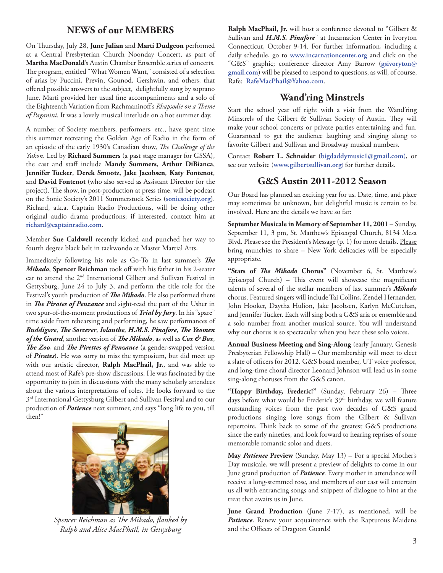# **NEWS of our MEMBERS**

On Thursday, July 28, June Julian and Marti Dudgeon performed at a Central Presbyterian Church Noonday Concert, as part of **Martha MacDonald**'s Austin Chamber Ensemble series of concerts. The program, entitled "What Women Want," consisted of a selection of arias by Puccini, Previn, Gounod, Gershwin, and others, that offered possible answers to the subject, delightfully sung by soprano June. Marti provided her usual fine accompaniments and a solo of the Eighteenth Variation from Rachmaninoff's *Rhapsodie on a Theme of Paganini*. It was a lovely musical interlude on a hot summer day.

A number of Society members, performers, etc., have spent time this summer recreating the Golden Age of Radio in the form of an episode of the early 1930's Canadian show, *The Challenge of the Yukon*. Led by **Richard Summers** (a past stage manager for GSSA), the cast and staff include **Mandy Summers**, **Arthur DiBianca**, **Jennifer Tucker**, **Derek Smootz**, **Jake Jacobsen**, **Katy Fontenot**, and **David Fontenot** (who also served as Assistant Director for the project). The show, in post-production at press time, will be podcast on the Sonic Society's 2011 Summerstock Series (**sonicsociety.org**). Richard, a.k.a. Captain Radio Productions, will be doing other original audio drama productions; if interested, contact him at **richard@captainradio.com**.

Member **Sue Caldwell** recently kicked and punched her way to fourth degree black belt in taekwondo at Master Martial Arts.

Immediately following his role as Go-To in last summer's The *Mikado*, **Spencer Reichman** took off with his father in his 2-seater car to attend the 2nd International Gilbert and Sullivan Festival in Gettysburg, June 24 to July 3, and perform the title role for the Festival's youth production of *The Mikado*. He also performed there in *The Pirates of Penzance* and sight-read the part of the Usher in two spur-of-the-moment productions of *Trial by Jury*. In his "spare" time aside from rehearsing and performing, he saw performances of *Ruddigore, The Sorcerer, Iolanthe, H.M.S. Pinafore, The Yeomen of the Guard*, another version of *The Mikado*, as well as *Cox & Box*, *The Zoo*, and *The Pirettes of Penzance* (a gender-swapped version of *Pirates*). He was sorry to miss the symposium, but did meet up with our artistic director, **Ralph MacPhail, Jr.**, and was able to attend most of Rafe's pre-show discussions. He was fascinated by the opportunity to join in discussions with the many scholarly attendees about the various interpretations of roles. He looks forward to the 3<sup>rd</sup> International Gettysburg Gilbert and Sullivan Festival and to our production of *Patience* next summer, and says "long life to you, till then!"



Spencer Reichman as The Mikado, flanked by *Ralph and Alice MacPhail, in Gettysburg*

**Ralph MacPhail, Jr.** will host a conference devoted to "Gilbert & Sullivan and *H.M.S. Pinafore*" at Incarnation Center in Ivoryton Connecticut, October 9-14. For further information, including a daily schedule, go to **www.incarnationcenter.org** and click on the "G&S" graphic; conference director Amy Barrow (**gsivoryton@ gmail.com**) will be pleased to respond to questions, as will, of course, Rafe: **RafeMacPhail@Yahoo.com**.

# **Wand'ring Minstrels**

Start the school year off right with a visit from the Wand'ring Minstrels of the Gilbert & Sullivan Society of Austin. They will make your school concerts or private parties entertaining and fun. Guaranteed to get the audience laughing and singing along to favorite Gilbert and Sullivan and Broadway musical numbers.

Contact **Robert L. Schneider** (**bigdaddymusic1@gmail.com**), or see our website (**www.gilbertsullivan.org**) for further details.

# **G&S Austin 2011-2012 Season**

Our Board has planned an exciting year for us. Date, time, and place may sometimes be unknown, but delightful music is certain to be involved. Here are the details we have so far:

**September Musicale in Memory of September 11, 2001** – Sunday, September 11, 3 pm, St. Matthew's Episcopal Church, 8134 Mesa Blvd. Please see the President's Message (p. 1) for more details. Please bring munchies to share – New York delicacies will be especially appropriate.

"Stars of *The Mikado* Chorus" (November 6, St. Matthew's Episcopal Church) – This event will showcase the magnificent talents of several of the stellar members of last summer's *Mikado* chorus. Featured singers will include Tai Collins, Zendel Hernandez, John Hooker, Daytha Hulion, Jake Jacobsen, Karlyn McCutchan, and Jennifer Tucker. Each will sing both a G&S aria or ensemble and a solo number from another musical source. You will understand why our chorus is so spectacular when you hear these solo voices.

**Annual Business Meeting and Sing-Along** (early January, Genesis Presbyterian Fellowship Hall) – Our membership will meet to elect a slate of officers for 2012. G&S board member, UT voice professor, and long-time choral director Leonard Johnson will lead us in some sing-along choruses from the G&S canon.

"Happy Birthday, Frederic!" (Sunday, February 26) – Three days before what would be Frederic's 39<sup>th</sup> birthday, we will feature outstanding voices from the past two decades of G&S grand productions singing love songs from the Gilbert & Sullivan repertoire. Think back to some of the greatest G&S productions since the early nineties, and look forward to hearing reprises of some memorable romantic solos and duets.

**May** *Patience* **Preview** (Sunday, May 13) – For a special Mother's Day musicale, we will present a preview of delights to come in our June grand production of *Patience.* Every mother in attendance will receive a long-stemmed rose, and members of our cast will entertain us all with entrancing songs and snippets of dialogue to hint at the treat that awaits us in June.

**June Grand Production** (June 7-17), as mentioned, will be *Patience*. Renew your acquaintence with the Rapturous Maidens and the Officers of Dragoon Guards!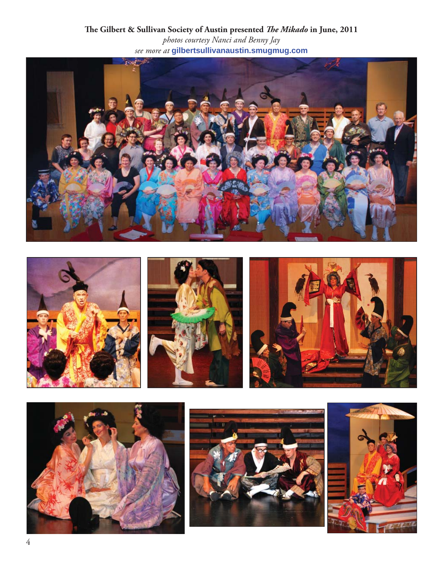







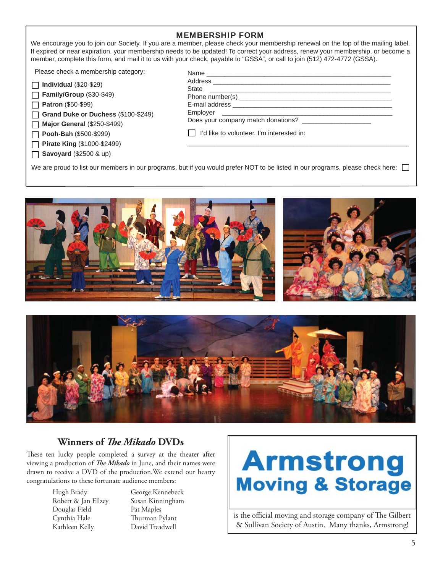### MEMBERSHIP FORM

We encourage you to join our Society. If you are a member, please check your membership renewal on the top of the mailing label. If expired or near expiration, your membership needs to be updated! To correct your address, renew your membership, or become a member, complete this form, and mail it to us with your check, payable to "GSSA", or call to join (512) 472-4772 (GSSA).

Please check a membership category:

| $\Box$ Individual (\$20-\$29) |  |
|-------------------------------|--|
|                               |  |

**Family/Group** (\$30-\$49)

**Patron** (\$50-\$99)

**Grand Duke or Duchess** (\$100-\$249) П

**Major General** (\$250-\$499)  $\Box$ 

**Pooh-Bah** (\$500-\$999)  $\Box$ 

**Pirate King** (\$1000-\$2499)  $\Box$ 

**Savoyard** (\$2500 & up) П

| Name                                                                                 |  |
|--------------------------------------------------------------------------------------|--|
|                                                                                      |  |
| <b>State</b><br><u> 1980 - Andrea Andrewski, politik američki profesor (d. 1980)</u> |  |
|                                                                                      |  |
|                                                                                      |  |
|                                                                                      |  |
| Does your company match donations?                                                   |  |
| I'd like to volunteer. I'm interested in:                                            |  |
|                                                                                      |  |

We are proud to list our members in our programs, but if you would prefer NOT to be listed in our programs, please check here:





# **Winners of** *The Mikado* DVDs

These ten lucky people completed a survey at the theater after viewing a production of *The Mikado* in June, and their names were drawn to receive a DVD of the production.We extend our hearty congratulations to these fortunate audience members:

> Robert & Jan Ellzey Susan Kinningham Douglas Field Pat Maples Cynthia Hale Thurman Pylant Kathleen Kelly David Treadwell

> Hugh Brady George Kennebeck

# **Armstrong Moving & Storage**

is the official moving and storage company of The Gilbert & Sullivan Society of Austin. Many thanks, Armstrong!